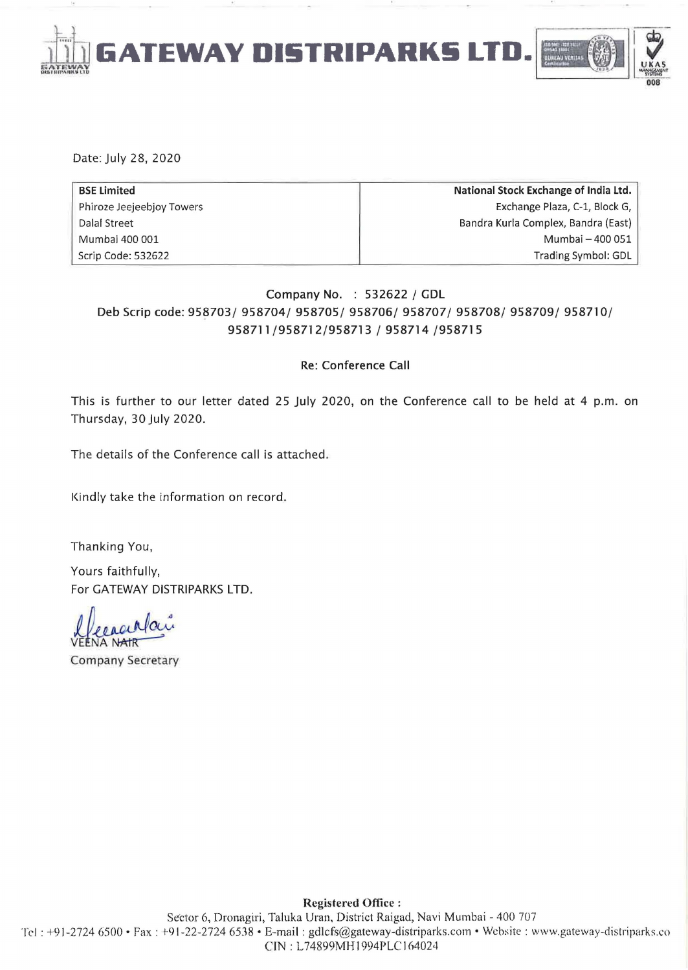

Date: July 28. 2020

| <b>BSE Limited</b>        | National Stock Exchange of India Ltd. |
|---------------------------|---------------------------------------|
| Phiroze Jeejeebjoy Towers | Exchange Plaza, C-1, Block G,         |
| Dalal Street              | Bandra Kurla Complex, Bandra (East)   |
| Mumbai 400 001            | Mumbai - 400 051                      |
| Scrip Code: 532622        | Trading Symbol: GDL                   |

## Company No. : 532622 / GDL Deb Scrip code: 958703/ 958704/ 958705/ 958706/ 958707/ 958708/ 958709/ 958710/ 958711/958712/958713 / 958714 /958715

#### Re: Conference Call

This is further to our letter dated 25 July 2020. on the Conference call to be held at 4 p.m. on Thursday. 30 July 2020.

The details of the Conference call is attached.

Kindly take the information on record.

Thanking You.

Yours faithfully. For GATEWAY DISTRIPARKS LTD.

VE llecacialaire

Company Secretary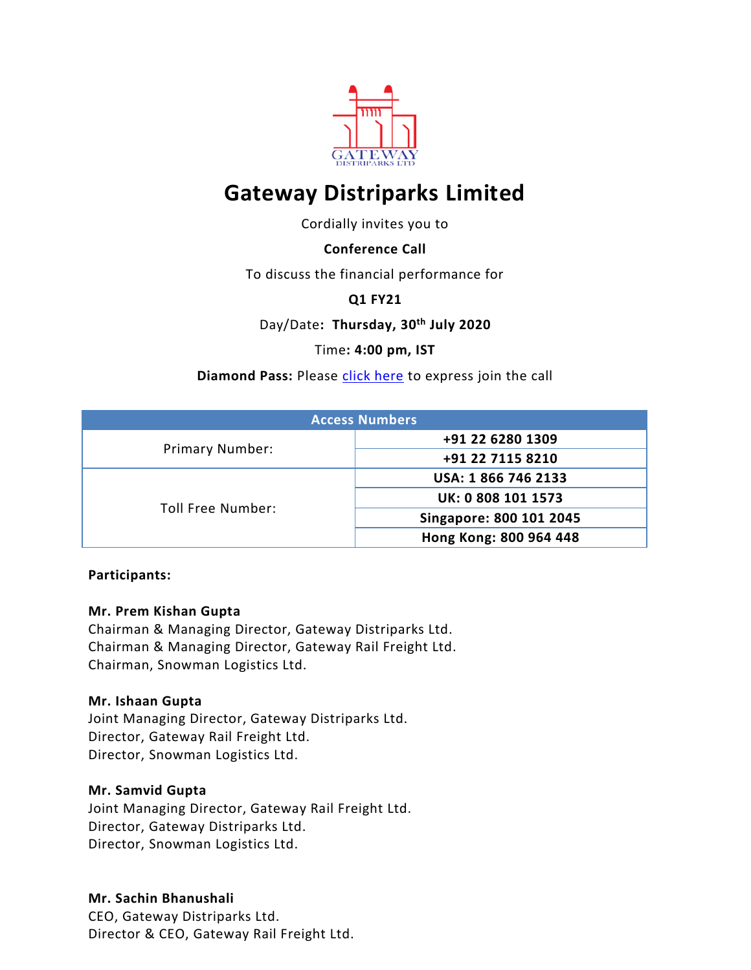

# **Gateway Distriparks Limited**

Cordially invites you to

## **Conference Call**

To discuss the financial performance for

**Q1 FY21**

Day/Date**: Thursday, 30 th July 2020**

Time**: 4:00 pm, IST**

**Diamond Pass: Please [click here](https://services.choruscall.in/DiamondPassRegistration/register?confirmationNumber=2016232&linkSecurityString=540e602d8) to express join the call** 

| <b>Access Numbers</b>  |                         |  |
|------------------------|-------------------------|--|
| <b>Primary Number:</b> | +91 22 6280 1309        |  |
|                        | +91 22 7115 8210        |  |
| Toll Free Number:      | USA: 1866 746 2133      |  |
|                        | UK: 0 808 101 1573      |  |
|                        | Singapore: 800 101 2045 |  |
|                        | Hong Kong: 800 964 448  |  |

#### **Participants:**

#### **Mr. Prem Kishan Gupta**

Chairman & Managing Director, Gateway Distriparks Ltd. Chairman & Managing Director, Gateway Rail Freight Ltd. Chairman, Snowman Logistics Ltd.

## **Mr. Ishaan Gupta**

Joint Managing Director, Gateway Distriparks Ltd. Director, Gateway Rail Freight Ltd. Director, Snowman Logistics Ltd.

#### **Mr. Samvid Gupta**

Joint Managing Director, Gateway Rail Freight Ltd. Director, Gateway Distriparks Ltd. Director, Snowman Logistics Ltd.

## **Mr. Sachin Bhanushali**

CEO, Gateway Distriparks Ltd. Director & CEO, Gateway Rail Freight Ltd.